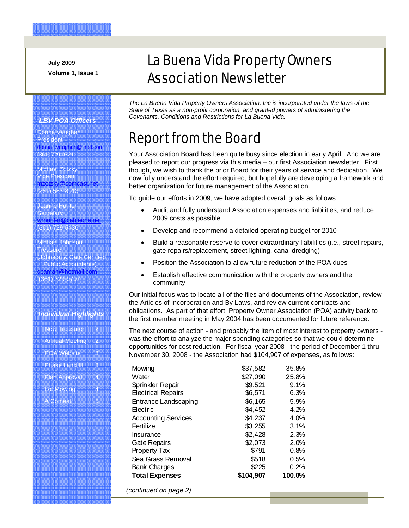**July 2009 Volume 1, Issue 1** 

# La Buena Vida Property Owners Association Newsletter

*The La Buena Vida Property Owners Association, Inc is incorporated under the laws of the State of Texas as a non-profit corporation, and granted powers of administering the Covenants, Conditions and Restrictions for La Buena Vida.* 

# Report from the Board

Your Association Board has been quite busy since election in early April. And we are pleased to report our progress via this media – our first Association newsletter. First though, we wish to thank the prior Board for their years of service and dedication. We now fully understand the effort required, but hopefully are developing a framework and better organization for future management of the Association.

To guide our efforts in 2009, we have adopted overall goals as follows:

- Audit and fully understand Association expenses and liabilities, and reduce 2009 costs as possible
- Develop and recommend a detailed operating budget for 2010
- Build a reasonable reserve to cover extraordinary liabilities (i.e., street repairs, gate repairs/replacement, street lighting, canal dredging)
- Position the Association to allow future reduction of the POA dues
- Establish effective communication with the property owners and the community

Our initial focus was to locate all of the files and documents of the Association, review the Articles of Incorporation and By Laws, and review current contracts and obligations. As part of that effort, Property Owner Association (POA) activity back to the first member meeting in May 2004 has been documented for future reference.

The next course of action - and probably the item of most interest to property owners was the effort to analyze the major spending categories so that we could determine opportunities for cost reduction. For fiscal year 2008 - the period of December 1 thru November 30, 2008 - the Association had \$104,907 of expenses, as follows:

| Mowing                     | \$37,582  | 35.8%  |
|----------------------------|-----------|--------|
| Water                      | \$27,090  | 25.8%  |
| Sprinkler Repair           | \$9,521   | 9.1%   |
| <b>Electrical Repairs</b>  | \$6,571   | 6.3%   |
| Entrance Landscaping       | \$6,165   | 5.9%   |
| Electric                   | \$4,452   | 4.2%   |
| <b>Accounting Services</b> | \$4,237   | 4.0%   |
| Fertilize                  | \$3,255   | 3.1%   |
| Insurance                  | \$2,428   | 2.3%   |
| <b>Gate Repairs</b>        | \$2,073   | 2.0%   |
| <b>Property Tax</b>        | \$791     | 0.8%   |
| Sea Grass Removal          | \$518     | 0.5%   |
| <b>Bank Charges</b>        | \$225     | 0.2%   |
| <b>Total Expenses</b>      | \$104,907 | 100.0% |

*(continued on page 2)* 

#### *LBV POA Officers*

Donna Vaughan President donna.l.vaughan@intel.com (361) 729-0721

Michael Zotzky Vice President mzotzky@comcast.net (281) 587-8913

Jeanne Hunter **Secretary** wrhunter@cableone.net (361) 729-5436

Michael Johnson Treasurer (Johnson & Cate Certified Public Accountants) cpaman@hotmail.com (361) 729-9707

#### *Individual Highlights*

|                   | New Treasurer         | 2 |
|-------------------|-----------------------|---|
|                   |                       |   |
|                   | <b>Annual Meeting</b> | 2 |
|                   |                       |   |
|                   |                       |   |
|                   | <b>POA Website</b>    | З |
|                   |                       |   |
|                   | Phase Land III        | я |
|                   |                       |   |
|                   |                       |   |
|                   | <b>Plan Approval</b>  | 4 |
|                   |                       |   |
|                   |                       | 4 |
| <b>Lot Mowing</b> |                       |   |
|                   |                       |   |
| <b>A Contest</b>  |                       | Б |
|                   |                       |   |
|                   |                       |   |
|                   |                       |   |
|                   |                       |   |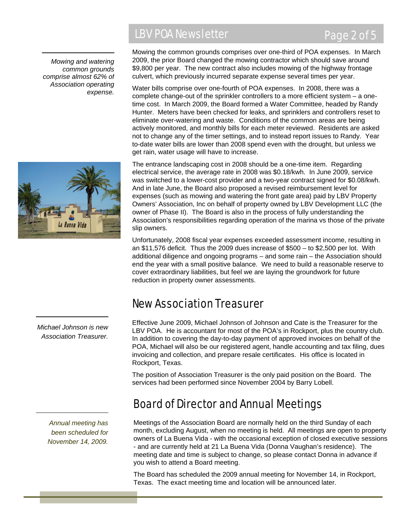*Mowing and watering common grounds comprise almost 62% of Association operating expense.* 

### LBV POA Newsletter Page 2 of 5

### Mowing the common grounds comprises over one-third of POA expenses. In March 2009, the prior Board changed the mowing contractor which should save around \$9,800 per year. The new contract also includes mowing of the highway frontage culvert, which previously incurred separate expense several times per year.

Water bills comprise over one-fourth of POA expenses. In 2008, there was a complete change-out of the sprinkler controllers to a more efficient system – a onetime cost. In March 2009, the Board formed a Water Committee, headed by Randy Hunter. Meters have been checked for leaks, and sprinklers and controllers reset to eliminate over-watering and waste. Conditions of the common areas are being actively monitored, and monthly bills for each meter reviewed. Residents are asked not to change any of the timer settings, and to instead report issues to Randy. Year to-date water bills are lower than 2008 spend even with the drought, but unless we get rain, water usage will have to increase.

The entrance landscaping cost in 2008 should be a one-time item. Regarding electrical service, the average rate in 2008 was \$0.18/kwh. In June 2009, service was switched to a lower-cost provider and a two-year contract signed for \$0.08/kwh. And in late June, the Board also proposed a revised reimbursement level for expenses (such as mowing and watering the front gate area) paid by LBV Property Owners' Association, Inc on behalf of property owned by LBV Development LLC (the owner of Phase II). The Board is also in the process of fully understanding the Association's responsibilities regarding operation of the marina vs those of the private slip owners.

Unfortunately, 2008 fiscal year expenses exceeded assessment income, resulting in an \$11,576 deficit. Thus the 2009 dues increase of \$500 – to \$2,500 per lot. With additional diligence and ongoing programs – and some rain – the Association should end the year with a small positive balance. We need to build a reasonable reserve to cover extraordinary liabilities, but feel we are laying the groundwork for future reduction in property owner assessments.

### New Association Treasurer

Effective June 2009, Michael Johnson of Johnson and Cate is the Treasurer for the LBV POA. He is accountant for most of the POA's in Rockport, plus the country club. In addition to covering the day-to-day payment of approved invoices on behalf of the POA, Michael will also be our registered agent, handle accounting and tax filing, dues invoicing and collection, and prepare resale certificates. His office is located in Rockport, Texas.

The position of Association Treasurer is the only paid position on the Board. The services had been performed since November 2004 by Barry Lobell.

### Board of Director and Annual Meetings

Meetings of the Association Board are normally held on the third Sunday of each month, excluding August, when no meeting is held. All meetings are open to property owners of La Buena Vida - with the occasional exception of closed executive sessions - and are currently held at 21 La Buena Vida (Donna Vaughan's residence). The meeting date and time is subject to change, so please contact Donna in advance if you wish to attend a Board meeting.

The Board has scheduled the 2009 annual meeting for November 14, in Rockport, Texas. The exact meeting time and location will be announced later.

*Michael Johnson is new Association Treasurer.* 

> *Annual meeting has been scheduled for November 14, 2009.*



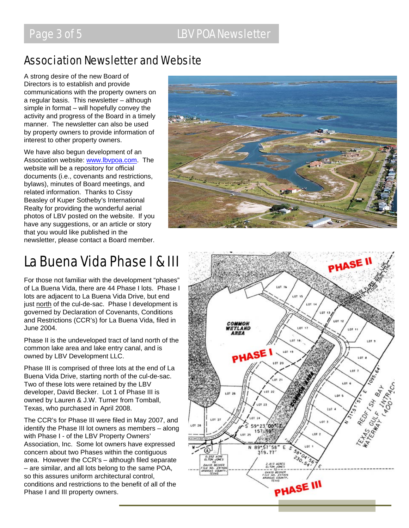### Association Newsletter and Website

A strong desire of the new Board of Directors is to establish and provide communications with the property owners on a regular basis. This newsletter – although simple in format – will hopefully convey the activity and progress of the Board in a timely manner. The newsletter can also be used by property owners to provide information of interest to other property owners.

We have also begun development of an Association website: www.lbvpoa.com. The website will be a repository for official documents (i.e., covenants and restrictions, bylaws), minutes of Board meetings, and related information. Thanks to Cissy Beasley of Kuper Sotheby's International Realty for providing the wonderful aerial photos of LBV posted on the website. If you have any suggestions, or an article or story that you would like published in the newsletter, please contact a Board member.



# La Buena Vida Phase I & III

For those not familiar with the development "phases" of La Buena Vida, there are 44 Phase I lots. Phase I lots are adjacent to La Buena Vida Drive, but end just north of the cul-de-sac. Phase I development is governed by Declaration of Covenants, Conditions and Restrictions (CCR's) for La Buena Vida, filed in June 2004.

Phase II is the undeveloped tract of land north of the common lake area and lake entry canal, and is owned by LBV Development LLC.

Phase III is comprised of three lots at the end of La Buena Vida Drive, starting north of the cul-de-sac. Two of these lots were retained by the LBV developer, David Becker. Lot 1 of Phase III is owned by Lauren & J.W. Turner from Tomball, Texas, who purchased in April 2008.

The CCR's for Phase III were filed in May 2007, and identify the Phase III lot owners as members – along with Phase I - of the LBV Property Owners' Association, Inc. Some lot owners have expressed concern about two Phases within the contiguous area. However the CCR's – although filed separate – are similar, and all lots belong to the same POA, so this assures uniform architectural control, conditions and restrictions to the benefit of all of the Phase I and III property owners.

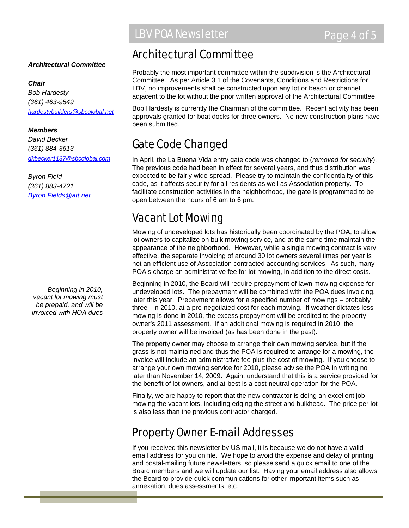### *Architectural Committee*

#### *Chair*

*Bob Hardesty (361) 463-9549 hardestybuilders@sbcglobal.net*

#### *Members*

*David Becker (361) 884-3613 dkbecker1137@sbcglobal.com*

*Byron Field (361) 883-4721 Byron.Fields@att.net*

*Beginning in 2010, vacant lot mowing must be prepaid, and will be invoiced with HOA dues* 

### Architectural Committee

Probably the most important committee within the subdivision is the Architectural Committee. As per Article 3.1 of the Covenants, Conditions and Restrictions for LBV, no improvements shall be constructed upon any lot or beach or channel adjacent to the lot without the prior written approval of the Architectural Committee.

Bob Hardesty is currently the Chairman of the committee. Recent activity has been approvals granted for boat docks for three owners. No new construction plans have been submitted.

## Gate Code Changed

In April, the La Buena Vida entry gate code was changed to (*removed for security*). The previous code had been in effect for several years, and thus distribution was expected to be fairly wide-spread. Please try to maintain the confidentiality of this code, as it affects security for all residents as well as Association property. To facilitate construction activities in the neighborhood, the gate is programmed to be open between the hours of 6 am to 6 pm.

## Vacant Lot Mowing

Mowing of undeveloped lots has historically been coordinated by the POA, to allow lot owners to capitalize on bulk mowing service, and at the same time maintain the appearance of the neighborhood. However, while a single mowing contract is very effective, the separate invoicing of around 30 lot owners several times per year is not an efficient use of Association contracted accounting services. As such, many POA's charge an administrative fee for lot mowing, in addition to the direct costs.

Beginning in 2010, the Board will require prepayment of lawn mowing expense for undeveloped lots. The prepayment will be combined with the POA dues invoicing, later this year. Prepayment allows for a specified number of mowings – probably three - in 2010, at a pre-negotiated cost for each mowing. If weather dictates less mowing is done in 2010, the excess prepayment will be credited to the property owner's 2011 assessment. If an additional mowing is required in 2010, the property owner will be invoiced (as has been done in the past).

The property owner may choose to arrange their own mowing service, but if the grass is not maintained and thus the POA is required to arrange for a mowing, the invoice will include an administrative fee plus the cost of mowing. If you choose to arrange your own mowing service for 2010, please advise the POA in writing no later than November 14, 2009. Again, understand that this is a service provided for the benefit of lot owners, and at-best is a cost-neutral operation for the POA.

Finally, we are happy to report that the new contractor is doing an excellent job mowing the vacant lots, including edging the street and bulkhead. The price per lot is also less than the previous contractor charged.

### Property Owner E-mail Addresses

If you received this newsletter by US mail, it is because we do not have a valid email address for you on file. We hope to avoid the expense and delay of printing and postal-mailing future newsletters, so please send a quick email to one of the Board members and we will update our list. Having your email address also allows the Board to provide quick communications for other important items such as annexation, dues assessments, etc.